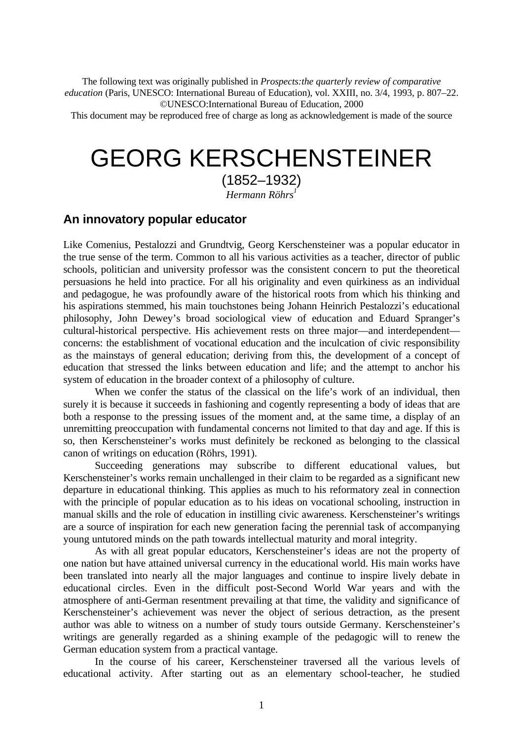The following text was originally published in *Prospects:the quarterly review of comparative education* (Paris, UNESCO: International Bureau of Education), vol. XXIII, no. 3/4, 1993, p. 807–22. ©UNESCO:International Bureau of Education, 2000

This document may be reproduced free of charge as long as acknowledgement is made of the source

# GEORG KERSCHENSTEINER

(1852–1932) *Hermann Röhrs<sup>1</sup>*

### **An innovatory popular educator**

Like Comenius, Pestalozzi and Grundtvig, Georg Kerschensteiner was a popular educator in the true sense of the term. Common to all his various activities as a teacher, director of public schools, politician and university professor was the consistent concern to put the theoretical persuasions he held into practice. For all his originality and even quirkiness as an individual and pedagogue, he was profoundly aware of the historical roots from which his thinking and his aspirations stemmed, his main touchstones being Johann Heinrich Pestalozzi's educational philosophy, John Dewey's broad sociological view of education and Eduard Spranger's cultural-historical perspective. His achievement rests on three major—and interdependent concerns: the establishment of vocational education and the inculcation of civic responsibility as the mainstays of general education; deriving from this, the development of a concept of education that stressed the links between education and life; and the attempt to anchor his system of education in the broader context of a philosophy of culture.

When we confer the status of the classical on the life's work of an individual, then surely it is because it succeeds in fashioning and cogently representing a body of ideas that are both a response to the pressing issues of the moment and, at the same time, a display of an unremitting preoccupation with fundamental concerns not limited to that day and age. If this is so, then Kerschensteiner's works must definitely be reckoned as belonging to the classical canon of writings on education (Röhrs, 1991).

Succeeding generations may subscribe to different educational values, but Kerschensteiner's works remain unchallenged in their claim to be regarded as a significant new departure in educational thinking. This applies as much to his reformatory zeal in connection with the principle of popular education as to his ideas on vocational schooling, instruction in manual skills and the role of education in instilling civic awareness. Kerschensteiner's writings are a source of inspiration for each new generation facing the perennial task of accompanying young untutored minds on the path towards intellectual maturity and moral integrity.

As with all great popular educators, Kerschensteiner's ideas are not the property of one nation but have attained universal currency in the educational world. His main works have been translated into nearly all the major languages and continue to inspire lively debate in educational circles. Even in the difficult post-Second World War years and with the atmosphere of anti-German resentment prevailing at that time, the validity and significance of Kerschensteiner's achievement was never the object of serious detraction, as the present author was able to witness on a number of study tours outside Germany. Kerschensteiner's writings are generally regarded as a shining example of the pedagogic will to renew the German education system from a practical vantage.

In the course of his career, Kerschensteiner traversed all the various levels of educational activity. After starting out as an elementary school-teacher, he studied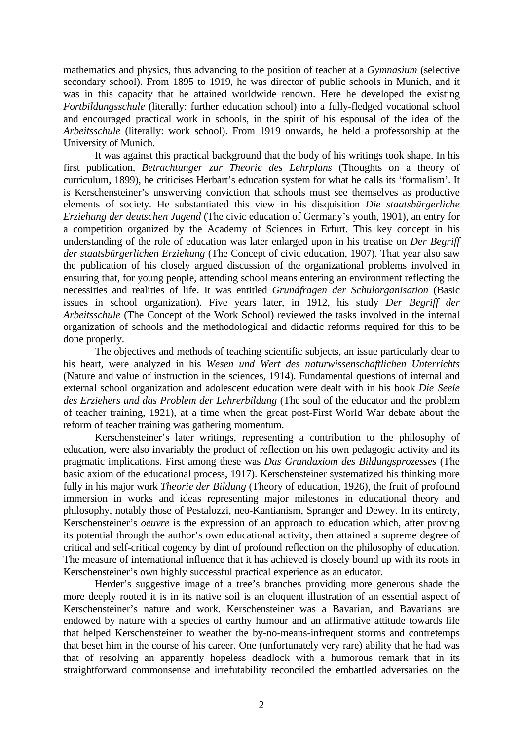mathematics and physics, thus advancing to the position of teacher at a *Gymnasium* (selective secondary school). From 1895 to 1919, he was director of public schools in Munich, and it was in this capacity that he attained worldwide renown. Here he developed the existing *Fortbildungsschule* (literally: further education school) into a fully-fledged vocational school and encouraged practical work in schools, in the spirit of his espousal of the idea of the *Arbeitsschule* (literally: work school). From 1919 onwards, he held a professorship at the University of Munich.

It was against this practical background that the body of his writings took shape. In his first publication, *Betrachtunger zur Theorie des Lehrplans* (Thoughts on a theory of curriculum, 1899), he criticises Herbart's education system for what he calls its 'formalism'. It is Kerschensteiner's unswerving conviction that schools must see themselves as productive elements of society. He substantiated this view in his disquisition *Die staatsbürgerliche Erziehung der deutschen Jugend* (The civic education of Germany's youth, 1901), an entry for a competition organized by the Academy of Sciences in Erfurt. This key concept in his understanding of the role of education was later enlarged upon in his treatise on *Der Begriff der staatsbürgerlichen Erziehung* (The Concept of civic education, 1907). That year also saw the publication of his closely argued discussion of the organizational problems involved in ensuring that, for young people, attending school means entering an environment reflecting the necessities and realities of life. It was entitled *Grundfragen der Schulorganisation* (Basic issues in school organization). Five years later, in 1912, his study *Der Begriff der Arbeitsschule* (The Concept of the Work School) reviewed the tasks involved in the internal organization of schools and the methodological and didactic reforms required for this to be done properly.

The objectives and methods of teaching scientific subjects, an issue particularly dear to his heart, were analyzed in his *Wesen und Wert des naturwissenschaftlichen Unterrichts* (Nature and value of instruction in the sciences, 1914). Fundamental questions of internal and external school organization and adolescent education were dealt with in his book *Die Seele des Erziehers und das Problem der Lehrerbildung* (The soul of the educator and the problem of teacher training, 1921), at a time when the great post-First World War debate about the reform of teacher training was gathering momentum.

Kerschensteiner's later writings, representing a contribution to the philosophy of education, were also invariably the product of reflection on his own pedagogic activity and its pragmatic implications. First among these was *Das Grundaxiom des Bildungsprozesses* (The basic axiom of the educational process, 1917). Kerschensteiner systematized his thinking more fully in his major work *Theorie der Bildung* (Theory of education, 1926), the fruit of profound immersion in works and ideas representing major milestones in educational theory and philosophy, notably those of Pestalozzi, neo-Kantianism, Spranger and Dewey. In its entirety, Kerschensteiner's *oeuvre* is the expression of an approach to education which, after proving its potential through the author's own educational activity, then attained a supreme degree of critical and self-critical cogency by dint of profound reflection on the philosophy of education. The measure of international influence that it has achieved is closely bound up with its roots in Kerschensteiner's own highly successful practical experience as an educator.

Herder's suggestive image of a tree's branches providing more generous shade the more deeply rooted it is in its native soil is an eloquent illustration of an essential aspect of Kerschensteiner's nature and work. Kerschensteiner was a Bavarian, and Bavarians are endowed by nature with a species of earthy humour and an affirmative attitude towards life that helped Kerschensteiner to weather the by-no-means-infrequent storms and contretemps that beset him in the course of his career. One (unfortunately very rare) ability that he had was that of resolving an apparently hopeless deadlock with a humorous remark that in its straightforward commonsense and irrefutability reconciled the embattled adversaries on the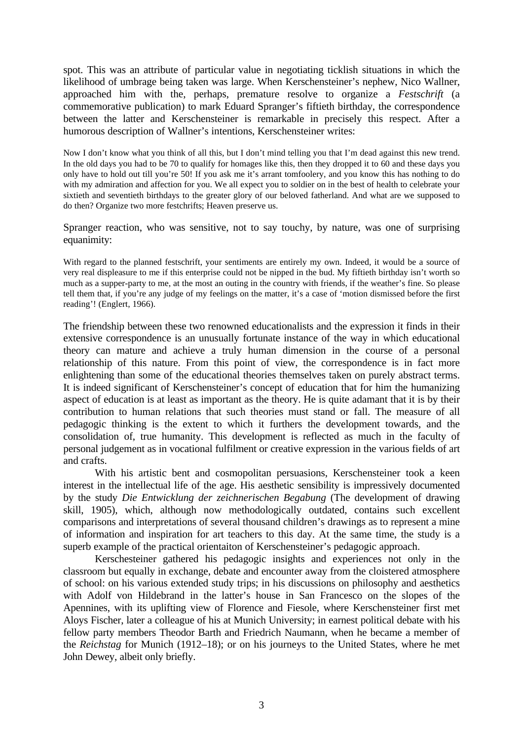spot. This was an attribute of particular value in negotiating ticklish situations in which the likelihood of umbrage being taken was large. When Kerschensteiner's nephew, Nico Wallner, approached him with the, perhaps, premature resolve to organize a *Festschrift* (a commemorative publication) to mark Eduard Spranger's fiftieth birthday, the correspondence between the latter and Kerschensteiner is remarkable in precisely this respect. After a humorous description of Wallner's intentions, Kerschensteiner writes:

Now I don't know what you think of all this, but I don't mind telling you that I'm dead against this new trend. In the old days you had to be 70 to qualify for homages like this, then they dropped it to 60 and these days you only have to hold out till you're 50! If you ask me it's arrant tomfoolery, and you know this has nothing to do with my admiration and affection for you. We all expect you to soldier on in the best of health to celebrate your sixtieth and seventieth birthdays to the greater glory of our beloved fatherland. And what are we supposed to do then? Organize two more festchrifts; Heaven preserve us.

Spranger reaction, who was sensitive, not to say touchy, by nature, was one of surprising equanimity:

With regard to the planned festschrift, your sentiments are entirely my own. Indeed, it would be a source of very real displeasure to me if this enterprise could not be nipped in the bud. My fiftieth birthday isn't worth so much as a supper-party to me, at the most an outing in the country with friends, if the weather's fine. So please tell them that, if you're any judge of my feelings on the matter, it's a case of 'motion dismissed before the first reading'! (Englert, 1966).

The friendship between these two renowned educationalists and the expression it finds in their extensive correspondence is an unusually fortunate instance of the way in which educational theory can mature and achieve a truly human dimension in the course of a personal relationship of this nature. From this point of view, the correspondence is in fact more enlightening than some of the educational theories themselves taken on purely abstract terms. It is indeed significant of Kerschensteiner's concept of education that for him the humanizing aspect of education is at least as important as the theory. He is quite adamant that it is by their contribution to human relations that such theories must stand or fall. The measure of all pedagogic thinking is the extent to which it furthers the development towards, and the consolidation of, true humanity. This development is reflected as much in the faculty of personal judgement as in vocational fulfilment or creative expression in the various fields of art and crafts.

With his artistic bent and cosmopolitan persuasions, Kerschensteiner took a keen interest in the intellectual life of the age. His aesthetic sensibility is impressively documented by the study *Die Entwicklung der zeichnerischen Begabung* (The development of drawing skill, 1905), which, although now methodologically outdated, contains such excellent comparisons and interpretations of several thousand children's drawings as to represent a mine of information and inspiration for art teachers to this day. At the same time, the study is a superb example of the practical orientaiton of Kerschensteiner's pedagogic approach.

Kerschesteiner gathered his pedagogic insights and experiences not only in the classroom but equally in exchange, debate and encounter away from the cloistered atmosphere of school: on his various extended study trips; in his discussions on philosophy and aesthetics with Adolf von Hildebrand in the latter's house in San Francesco on the slopes of the Apennines, with its uplifting view of Florence and Fiesole, where Kerschensteiner first met Aloys Fischer, later a colleague of his at Munich University; in earnest political debate with his fellow party members Theodor Barth and Friedrich Naumann, when he became a member of the *Reichstag* for Munich (1912–18); or on his journeys to the United States, where he met John Dewey, albeit only briefly.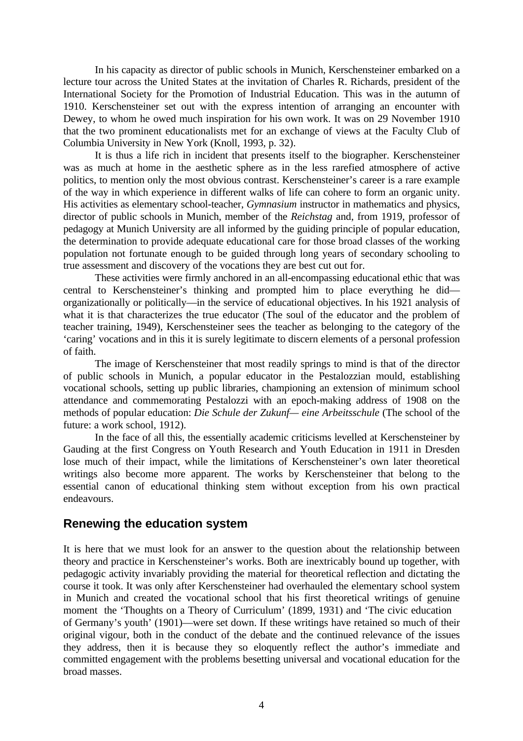In his capacity as director of public schools in Munich, Kerschensteiner embarked on a lecture tour across the United States at the invitation of Charles R. Richards, president of the International Society for the Promotion of Industrial Education. This was in the autumn of 1910. Kerschensteiner set out with the express intention of arranging an encounter with Dewey, to whom he owed much inspiration for his own work. It was on 29 November 1910 that the two prominent educationalists met for an exchange of views at the Faculty Club of Columbia University in New York (Knoll, 1993, p. 32).

It is thus a life rich in incident that presents itself to the biographer. Kerschensteiner was as much at home in the aesthetic sphere as in the less rarefied atmosphere of active politics, to mention only the most obvious contrast. Kerschensteiner's career is a rare example of the way in which experience in different walks of life can cohere to form an organic unity. His activities as elementary school-teacher, *Gymnasium* instructor in mathematics and physics, director of public schools in Munich, member of the *Reichstag* and, from 1919, professor of pedagogy at Munich University are all informed by the guiding principle of popular education, the determination to provide adequate educational care for those broad classes of the working population not fortunate enough to be guided through long years of secondary schooling to true assessment and discovery of the vocations they are best cut out for.

These activities were firmly anchored in an all-encompassing educational ethic that was central to Kerschensteiner's thinking and prompted him to place everything he did organizationally or politically—in the service of educational objectives. In his 1921 analysis of what it is that characterizes the true educator (The soul of the educator and the problem of teacher training, 1949), Kerschensteiner sees the teacher as belonging to the category of the 'caring' vocations and in this it is surely legitimate to discern elements of a personal profession of faith.

The image of Kerschensteiner that most readily springs to mind is that of the director of public schools in Munich, a popular educator in the Pestalozzian mould, establishing vocational schools, setting up public libraries, championing an extension of minimum school attendance and commemorating Pestalozzi with an epoch-making address of 1908 on the methods of popular education: *Die Schule der Zukunf— eine Arbeitsschule* (The school of the future: a work school, 1912).

In the face of all this, the essentially academic criticisms levelled at Kerschensteiner by Gauding at the first Congress on Youth Research and Youth Education in 1911 in Dresden lose much of their impact, while the limitations of Kerschensteiner's own later theoretical writings also become more apparent. The works by Kerschensteiner that belong to the essential canon of educational thinking stem without exception from his own practical endeavours.

## **Renewing the education system**

It is here that we must look for an answer to the question about the relationship between theory and practice in Kerschensteiner's works. Both are inextricably bound up together, with pedagogic activity invariably providing the material for theoretical reflection and dictating the course it took. It was only after Kerschensteiner had overhauled the elementary school system in Munich and created the vocational school that his first theoretical writings of genuine moment the 'Thoughts on a Theory of Curriculum' (1899, 1931) and 'The civic education of Germany's youth' (1901)—were set down. If these writings have retained so much of their original vigour, both in the conduct of the debate and the continued relevance of the issues they address, then it is because they so eloquently reflect the author's immediate and committed engagement with the problems besetting universal and vocational education for the broad masses.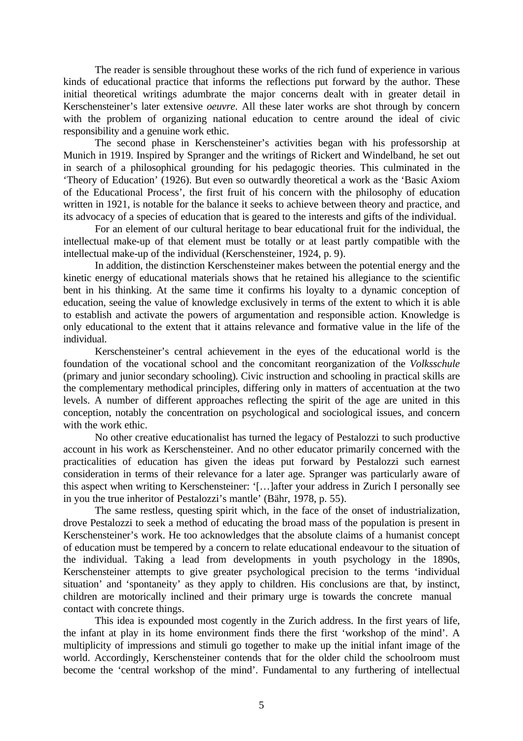The reader is sensible throughout these works of the rich fund of experience in various kinds of educational practice that informs the reflections put forward by the author. These initial theoretical writings adumbrate the major concerns dealt with in greater detail in Kerschensteiner's later extensive *oeuvre*. All these later works are shot through by concern with the problem of organizing national education to centre around the ideal of civic responsibility and a genuine work ethic.

The second phase in Kerschensteiner's activities began with his professorship at Munich in 1919. Inspired by Spranger and the writings of Rickert and Windelband, he set out in search of a philosophical grounding for his pedagogic theories. This culminated in the 'Theory of Education' (1926). But even so outwardly theoretical a work as the 'Basic Axiom of the Educational Process', the first fruit of his concern with the philosophy of education written in 1921, is notable for the balance it seeks to achieve between theory and practice, and its advocacy of a species of education that is geared to the interests and gifts of the individual.

For an element of our cultural heritage to bear educational fruit for the individual, the intellectual make-up of that element must be totally or at least partly compatible with the intellectual make-up of the individual (Kerschensteiner, 1924, p. 9).

In addition, the distinction Kerschensteiner makes between the potential energy and the kinetic energy of educational materials shows that he retained his allegiance to the scientific bent in his thinking. At the same time it confirms his loyalty to a dynamic conception of education, seeing the value of knowledge exclusively in terms of the extent to which it is able to establish and activate the powers of argumentation and responsible action. Knowledge is only educational to the extent that it attains relevance and formative value in the life of the individual.

Kerschensteiner's central achievement in the eyes of the educational world is the foundation of the vocational school and the concomitant reorganization of the *Volksschule* (primary and junior secondary schooling). Civic instruction and schooling in practical skills are the complementary methodical principles, differing only in matters of accentuation at the two levels. A number of different approaches reflecting the spirit of the age are united in this conception, notably the concentration on psychological and sociological issues, and concern with the work ethic.

No other creative educationalist has turned the legacy of Pestalozzi to such productive account in his work as Kerschensteiner. And no other educator primarily concerned with the practicalities of education has given the ideas put forward by Pestalozzi such earnest consideration in terms of their relevance for a later age. Spranger was particularly aware of this aspect when writing to Kerschensteiner: '[…]after your address in Zurich I personally see in you the true inheritor of Pestalozzi's mantle' (Bähr, 1978, p. 55).

The same restless, questing spirit which, in the face of the onset of industrialization, drove Pestalozzi to seek a method of educating the broad mass of the population is present in Kerschensteiner's work. He too acknowledges that the absolute claims of a humanist concept of education must be tempered by a concern to relate educational endeavour to the situation of the individual. Taking a lead from developments in youth psychology in the 1890s, Kerschensteiner attempts to give greater psychological precision to the terms 'individual situation' and 'spontaneity' as they apply to children. His conclusions are that, by instinct, children are motorically inclined and their primary urge is towards the concrete manual contact with concrete things.

This idea is expounded most cogently in the Zurich address. In the first years of life, the infant at play in its home environment finds there the first 'workshop of the mind'. A multiplicity of impressions and stimuli go together to make up the initial infant image of the world. Accordingly, Kerschensteiner contends that for the older child the schoolroom must become the 'central workshop of the mind'. Fundamental to any furthering of intellectual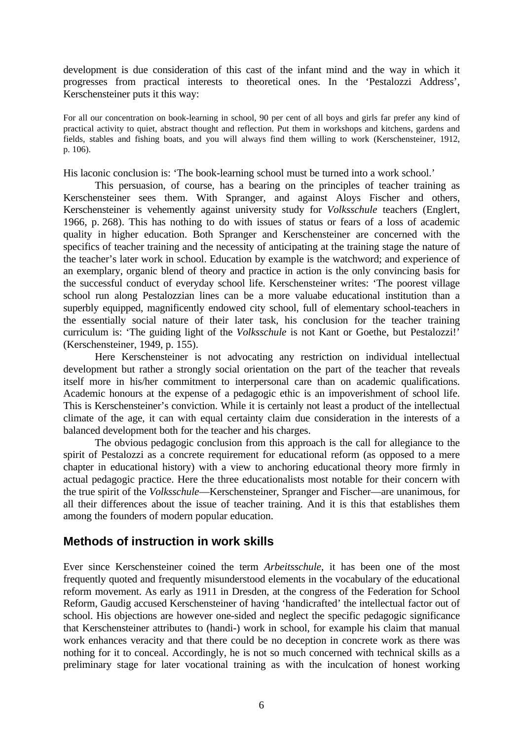development is due consideration of this cast of the infant mind and the way in which it progresses from practical interests to theoretical ones. In the 'Pestalozzi Address', Kerschensteiner puts it this way:

For all our concentration on book-learning in school, 90 per cent of all boys and girls far prefer any kind of practical activity to quiet, abstract thought and reflection. Put them in workshops and kitchens, gardens and fields, stables and fishing boats, and you will always find them willing to work (Kerschensteiner, 1912, p. 106).

His laconic conclusion is: 'The book-learning school must be turned into a work school.'

This persuasion, of course, has a bearing on the principles of teacher training as Kerschensteiner sees them. With Spranger, and against Aloys Fischer and others, Kerschensteiner is vehemently against university study for *Volksschule* teachers (Englert, 1966, p. 268). This has nothing to do with issues of status or fears of a loss of academic quality in higher education. Both Spranger and Kerschensteiner are concerned with the specifics of teacher training and the necessity of anticipating at the training stage the nature of the teacher's later work in school. Education by example is the watchword; and experience of an exemplary, organic blend of theory and practice in action is the only convincing basis for the successful conduct of everyday school life. Kerschensteiner writes: 'The poorest village school run along Pestalozzian lines can be a more valuabe educational institution than a superbly equipped, magnificently endowed city school, full of elementary school-teachers in the essentially social nature of their later task, his conclusion for the teacher training curriculum is: 'The guiding light of the *Volksschule* is not Kant or Goethe, but Pestalozzi!' (Kerschensteiner, 1949, p. 155).

Here Kerschensteiner is not advocating any restriction on individual intellectual development but rather a strongly social orientation on the part of the teacher that reveals itself more in his/her commitment to interpersonal care than on academic qualifications. Academic honours at the expense of a pedagogic ethic is an impoverishment of school life. This is Kerschensteiner's conviction. While it is certainly not least a product of the intellectual climate of the age, it can with equal certainty claim due consideration in the interests of a balanced development both for the teacher and his charges.

The obvious pedagogic conclusion from this approach is the call for allegiance to the spirit of Pestalozzi as a concrete requirement for educational reform (as opposed to a mere chapter in educational history) with a view to anchoring educational theory more firmly in actual pedagogic practice. Here the three educationalists most notable for their concern with the true spirit of the *Volksschule*—Kerschensteiner, Spranger and Fischer—are unanimous, for all their differences about the issue of teacher training. And it is this that establishes them among the founders of modern popular education.

# **Methods of instruction in work skills**

Ever since Kerschensteiner coined the term *Arbeitsschule*, it has been one of the most frequently quoted and frequently misunderstood elements in the vocabulary of the educational reform movement. As early as 1911 in Dresden, at the congress of the Federation for School Reform, Gaudig accused Kerschensteiner of having 'handicrafted' the intellectual factor out of school. His objections are however one-sided and neglect the specific pedagogic significance that Kerschensteiner attributes to (handi-) work in school, for example his claim that manual work enhances veracity and that there could be no deception in concrete work as there was nothing for it to conceal. Accordingly, he is not so much concerned with technical skills as a preliminary stage for later vocational training as with the inculcation of honest working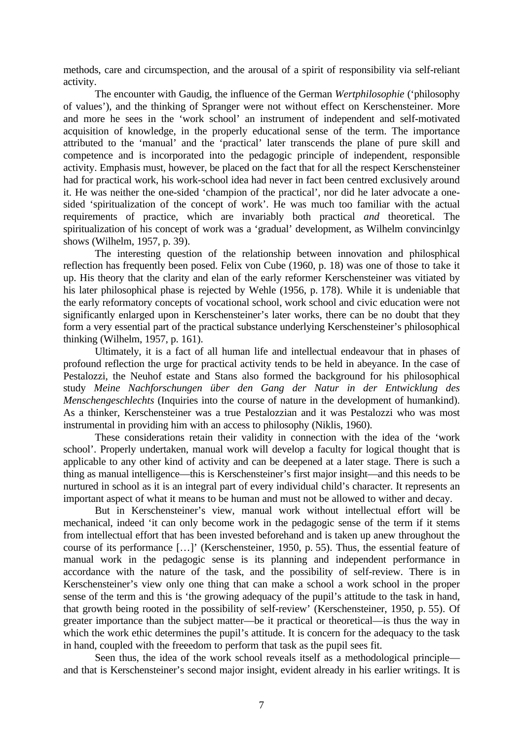methods, care and circumspection, and the arousal of a spirit of responsibility via self-reliant activity.

The encounter with Gaudig, the influence of the German *Wertphilosophie* ('philosophy of values'), and the thinking of Spranger were not without effect on Kerschensteiner. More and more he sees in the 'work school' an instrument of independent and self-motivated acquisition of knowledge, in the properly educational sense of the term. The importance attributed to the 'manual' and the 'practical' later transcends the plane of pure skill and competence and is incorporated into the pedagogic principle of independent, responsible activity. Emphasis must, however, be placed on the fact that for all the respect Kerschensteiner had for practical work, his work-school idea had never in fact been centred exclusively around it. He was neither the one-sided 'champion of the practical', nor did he later advocate a onesided 'spiritualization of the concept of work'. He was much too familiar with the actual requirements of practice, which are invariably both practical *and* theoretical. The spiritualization of his concept of work was a 'gradual' development, as Wilhelm convincinlgy shows (Wilhelm, 1957, p. 39).

The interesting question of the relationship between innovation and philosphical reflection has frequently been posed. Felix von Cube (1960, p. 18) was one of those to take it up. His theory that the clarity and elan of the early reformer Kerschensteiner was vitiated by his later philosophical phase is rejected by Wehle (1956, p. 178). While it is undeniable that the early reformatory concepts of vocational school, work school and civic education were not significantly enlarged upon in Kerschensteiner's later works, there can be no doubt that they form a very essential part of the practical substance underlying Kerschensteiner's philosophical thinking (Wilhelm, 1957, p. 161).

Ultimately, it is a fact of all human life and intellectual endeavour that in phases of profound reflection the urge for practical activity tends to be held in abeyance. In the case of Pestalozzi, the Neuhof estate and Stans also formed the background for his philosophical study *Meine Nachforschungen über den Gang der Natur in der Entwicklung des Menschengeschlechts* (Inquiries into the course of nature in the development of humankind). As a thinker, Kerschensteiner was a true Pestalozzian and it was Pestalozzi who was most instrumental in providing him with an access to philosophy (Niklis, 1960).

These considerations retain their validity in connection with the idea of the 'work school'. Properly undertaken, manual work will develop a faculty for logical thought that is applicable to any other kind of activity and can be deepened at a later stage. There is such a thing as manual intelligence—this is Kerschensteiner's first major insight—and this needs to be nurtured in school as it is an integral part of every individual child's character. It represents an important aspect of what it means to be human and must not be allowed to wither and decay.

But in Kerschensteiner's view, manual work without intellectual effort will be mechanical, indeed 'it can only become work in the pedagogic sense of the term if it stems from intellectual effort that has been invested beforehand and is taken up anew throughout the course of its performance […]' (Kerschensteiner, 1950, p. 55). Thus, the essential feature of manual work in the pedagogic sense is its planning and independent performance in accordance with the nature of the task, and the possibility of self-review. There is in Kerschensteiner's view only one thing that can make a school a work school in the proper sense of the term and this is 'the growing adequacy of the pupil's attitude to the task in hand, that growth being rooted in the possibility of self-review' (Kerschensteiner, 1950, p. 55). Of greater importance than the subject matter—be it practical or theoretical—is thus the way in which the work ethic determines the pupil's attitude. It is concern for the adequacy to the task in hand, coupled with the freeedom to perform that task as the pupil sees fit.

Seen thus, the idea of the work school reveals itself as a methodological principle and that is Kerschensteiner's second major insight, evident already in his earlier writings. It is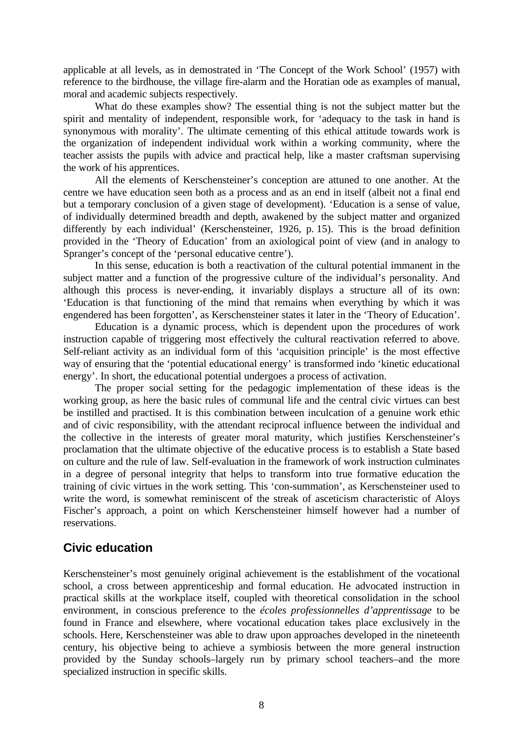applicable at all levels, as in demostrated in 'The Concept of the Work School' (1957) with reference to the birdhouse, the village fire-alarm and the Horatian ode as examples of manual, moral and academic subjects respectively.

What do these examples show? The essential thing is not the subject matter but the spirit and mentality of independent, responsible work, for 'adequacy to the task in hand is synonymous with morality'. The ultimate cementing of this ethical attitude towards work is the organization of independent individual work within a working community, where the teacher assists the pupils with advice and practical help, like a master craftsman supervising the work of his apprentices.

All the elements of Kerschensteiner's conception are attuned to one another. At the centre we have education seen both as a process and as an end in itself (albeit not a final end but a temporary conclusion of a given stage of development). 'Education is a sense of value, of individually determined breadth and depth, awakened by the subject matter and organized differently by each individual' (Kerschensteiner, 1926, p. 15). This is the broad definition provided in the 'Theory of Education' from an axiological point of view (and in analogy to Spranger's concept of the 'personal educative centre').

In this sense, education is both a reactivation of the cultural potential immanent in the subject matter and a function of the progressive culture of the individual's personality. And although this process is never-ending, it invariably displays a structure all of its own: 'Education is that functioning of the mind that remains when everything by which it was engendered has been forgotten', as Kerschensteiner states it later in the 'Theory of Education'.

Education is a dynamic process, which is dependent upon the procedures of work instruction capable of triggering most effectively the cultural reactivation referred to above. Self-reliant activity as an individual form of this 'acquisition principle' is the most effective way of ensuring that the 'potential educational energy' is transformed indo 'kinetic educational energy'. In short, the educational potential undergoes a process of activation.

The proper social setting for the pedagogic implementation of these ideas is the working group, as here the basic rules of communal life and the central civic virtues can best be instilled and practised. It is this combination between inculcation of a genuine work ethic and of civic responsibility, with the attendant reciprocal influence between the individual and the collective in the interests of greater moral maturity, which justifies Kerschensteiner's proclamation that the ultimate objective of the educative process is to establish a State based on culture and the rule of law. Self-evaluation in the framework of work instruction culminates in a degree of personal integrity that helps to transform into true formative education the training of civic virtues in the work setting. This 'con-summation', as Kerschensteiner used to write the word, is somewhat reminiscent of the streak of asceticism characteristic of Aloys Fischer's approach, a point on which Kerschensteiner himself however had a number of reservations.

# **Civic education**

Kerschensteiner's most genuinely original achievement is the establishment of the vocational school, a cross between apprenticeship and formal education. He advocated instruction in practical skills at the workplace itself, coupled with theoretical consolidation in the school environment, in conscious preference to the *écoles professionnelles d'apprentissage* to be found in France and elsewhere, where vocational education takes place exclusively in the schools. Here, Kerschensteiner was able to draw upon approaches developed in the nineteenth century, his objective being to achieve a symbiosis between the more general instruction provided by the Sunday schools–largely run by primary school teachers–and the more specialized instruction in specific skills.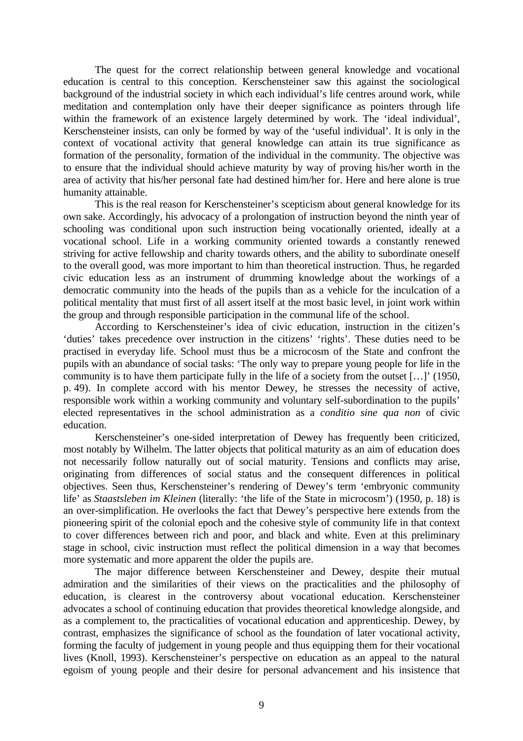The quest for the correct relationship between general knowledge and vocational education is central to this conception. Kerschensteiner saw this against the sociological background of the industrial society in which each individual's life centres around work, while meditation and contemplation only have their deeper significance as pointers through life within the framework of an existence largely determined by work. The 'ideal individual', Kerschensteiner insists, can only be formed by way of the 'useful individual'. It is only in the context of vocational activity that general knowledge can attain its true significance as formation of the personality, formation of the individual in the community. The objective was to ensure that the individual should achieve maturity by way of proving his/her worth in the area of activity that his/her personal fate had destined him/her for. Here and here alone is true humanity attainable.

This is the real reason for Kerschensteiner's scepticism about general knowledge for its own sake. Accordingly, his advocacy of a prolongation of instruction beyond the ninth year of schooling was conditional upon such instruction being vocationally oriented, ideally at a vocational school. Life in a working community oriented towards a constantly renewed striving for active fellowship and charity towards others, and the ability to subordinate oneself to the overall good, was more important to him than theoretical instruction. Thus, he regarded civic education less as an instrument of drumming knowledge about the workings of a democratic community into the heads of the pupils than as a vehicle for the inculcation of a political mentality that must first of all assert itself at the most basic level, in joint work within the group and through responsible participation in the communal life of the school.

According to Kerschensteiner's idea of civic education, instruction in the citizen's 'duties' takes precedence over instruction in the citizens' 'rights'. These duties need to be practised in everyday life. School must thus be a microcosm of the State and confront the pupils with an abundance of social tasks: 'The only way to prepare young people for life in the community is to have them participate fully in the life of a society from the outset […]' (1950, p. 49). In complete accord with his mentor Dewey, he stresses the necessity of active, responsible work within a working community and voluntary self-subordination to the pupils' elected representatives in the school administration as a *conditio sine qua non* of civic education.

Kerschensteiner's one-sided interpretation of Dewey has frequently been criticized, most notably by Wilhelm. The latter objects that political maturity as an aim of education does not necessarily follow naturally out of social maturity. Tensions and conflicts may arise, originating from differences of social status and the consequent differences in political objectives. Seen thus, Kerschensteiner's rendering of Dewey's term 'embryonic community life' as *Staastsleben im Kleinen* (literally: 'the life of the State in microcosm') (1950, p. 18) is an over-simplification. He overlooks the fact that Dewey's perspective here extends from the pioneering spirit of the colonial epoch and the cohesive style of community life in that context to cover differences between rich and poor, and black and white. Even at this preliminary stage in school, civic instruction must reflect the political dimension in a way that becomes more systematic and more apparent the older the pupils are.

The major difference between Kerschensteiner and Dewey, despite their mutual admiration and the similarities of their views on the practicalities and the philosophy of education, is clearest in the controversy about vocational education. Kerschensteiner advocates a school of continuing education that provides theoretical knowledge alongside, and as a complement to, the practicalities of vocational education and apprenticeship. Dewey, by contrast, emphasizes the significance of school as the foundation of later vocational activity, forming the faculty of judgement in young people and thus equipping them for their vocational lives (Knoll, 1993). Kerschensteiner's perspective on education as an appeal to the natural egoism of young people and their desire for personal advancement and his insistence that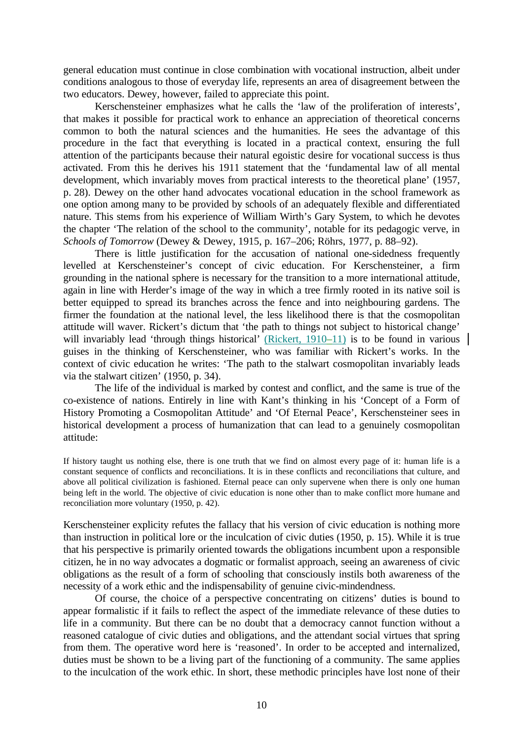general education must continue in close combination with vocational instruction, albeit under conditions analogous to those of everyday life, represents an area of disagreement between the two educators. Dewey, however, failed to appreciate this point.

Kerschensteiner emphasizes what he calls the 'law of the proliferation of interests', that makes it possible for practical work to enhance an appreciation of theoretical concerns common to both the natural sciences and the humanities. He sees the advantage of this procedure in the fact that everything is located in a practical context, ensuring the full attention of the participants because their natural egoistic desire for vocational success is thus activated. From this he derives his 1911 statement that the 'fundamental law of all mental development, which invariably moves from practical interests to the theoretical plane' (1957, p. 28). Dewey on the other hand advocates vocational education in the school framework as one option among many to be provided by schools of an adequately flexible and differentiated nature. This stems from his experience of William Wirth's Gary System, to which he devotes the chapter 'The relation of the school to the community', notable for its pedagogic verve, in *Schools of Tomorrow* (Dewey & Dewey, 1915, p. 167–206; Röhrs, 1977, p. 88–92).

There is little justification for the accusation of national one-sidedness frequently levelled at Kerschensteiner's concept of civic education. For Kerschensteiner, a firm grounding in the national sphere is necessary for the transition to a more international attitude, again in line with Herder's image of the way in which a tree firmly rooted in its native soil is better equipped to spread its branches across the fence and into neighbouring gardens. The firmer the foundation at the national level, the less likelihood there is that the cosmopolitan attitude will waver. Rickert's dictum that 'the path to things not subject to historical change' will invariably lead 'through things historical' (Rickert, 1910–11) is to be found in various guises in the thinking of Kerschensteiner, who was familiar with Rickert's works. In the context of civic education he writes: 'The path to the stalwart cosmopolitan invariably leads via the stalwart citizen' (1950, p. 34).

The life of the individual is marked by contest and conflict, and the same is true of the co-existence of nations. Entirely in line with Kant's thinking in his 'Concept of a Form of History Promoting a Cosmopolitan Attitude' and 'Of Eternal Peace', Kerschensteiner sees in historical development a process of humanization that can lead to a genuinely cosmopolitan attitude:

If history taught us nothing else, there is one truth that we find on almost every page of it: human life is a constant sequence of conflicts and reconciliations. It is in these conflicts and reconciliations that culture, and above all political civilization is fashioned. Eternal peace can only supervene when there is only one human being left in the world. The objective of civic education is none other than to make conflict more humane and reconciliation more voluntary (1950, p. 42).

Kerschensteiner explicity refutes the fallacy that his version of civic education is nothing more than instruction in political lore or the inculcation of civic duties (1950, p. 15). While it is true that his perspective is primarily oriented towards the obligations incumbent upon a responsible citizen, he in no way advocates a dogmatic or formalist approach, seeing an awareness of civic obligations as the result of a form of schooling that consciously instils both awareness of the necessity of a work ethic and the indispensability of genuine civic-mindendness.

Of course, the choice of a perspective concentrating on citizens' duties is bound to appear formalistic if it fails to reflect the aspect of the immediate relevance of these duties to life in a community. But there can be no doubt that a democracy cannot function without a reasoned catalogue of civic duties and obligations, and the attendant social virtues that spring from them. The operative word here is 'reasoned'. In order to be accepted and internalized, duties must be shown to be a living part of the functioning of a community. The same applies to the inculcation of the work ethic. In short, these methodic principles have lost none of their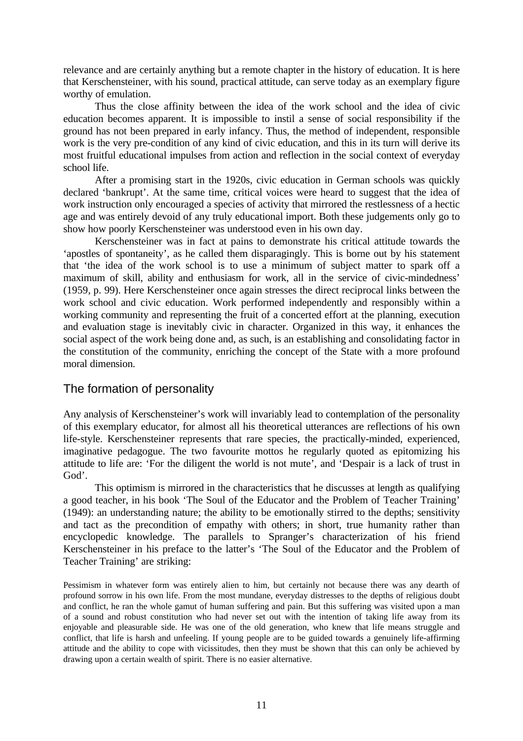relevance and are certainly anything but a remote chapter in the history of education. It is here that Kerschensteiner, with his sound, practical attitude, can serve today as an exemplary figure worthy of emulation.

Thus the close affinity between the idea of the work school and the idea of civic education becomes apparent. It is impossible to instil a sense of social responsibility if the ground has not been prepared in early infancy. Thus, the method of independent, responsible work is the very pre-condition of any kind of civic education, and this in its turn will derive its most fruitful educational impulses from action and reflection in the social context of everyday school life.

After a promising start in the 1920s, civic education in German schools was quickly declared 'bankrupt'. At the same time, critical voices were heard to suggest that the idea of work instruction only encouraged a species of activity that mirrored the restlessness of a hectic age and was entirely devoid of any truly educational import. Both these judgements only go to show how poorly Kerschensteiner was understood even in his own day.

Kerschensteiner was in fact at pains to demonstrate his critical attitude towards the 'apostles of spontaneity', as he called them disparagingly. This is borne out by his statement that 'the idea of the work school is to use a minimum of subject matter to spark off a maximum of skill, ability and enthusiasm for work, all in the service of civic-mindedness' (1959, p. 99). Here Kerschensteiner once again stresses the direct reciprocal links between the work school and civic education. Work performed independently and responsibly within a working community and representing the fruit of a concerted effort at the planning, execution and evaluation stage is inevitably civic in character. Organized in this way, it enhances the social aspect of the work being done and, as such, is an establishing and consolidating factor in the constitution of the community, enriching the concept of the State with a more profound moral dimension.

## The formation of personality

Any analysis of Kerschensteiner's work will invariably lead to contemplation of the personality of this exemplary educator, for almost all his theoretical utterances are reflections of his own life-style. Kerschensteiner represents that rare species, the practically-minded, experienced, imaginative pedagogue. The two favourite mottos he regularly quoted as epitomizing his attitude to life are: 'For the diligent the world is not mute', and 'Despair is a lack of trust in God'.

This optimism is mirrored in the characteristics that he discusses at length as qualifying a good teacher, in his book 'The Soul of the Educator and the Problem of Teacher Training' (1949): an understanding nature; the ability to be emotionally stirred to the depths; sensitivity and tact as the precondition of empathy with others; in short, true humanity rather than encyclopedic knowledge. The parallels to Spranger's characterization of his friend Kerschensteiner in his preface to the latter's 'The Soul of the Educator and the Problem of Teacher Training' are striking:

Pessimism in whatever form was entirely alien to him, but certainly not because there was any dearth of profound sorrow in his own life. From the most mundane, everyday distresses to the depths of religious doubt and conflict, he ran the whole gamut of human suffering and pain. But this suffering was visited upon a man of a sound and robust constitution who had never set out with the intention of taking life away from its enjoyable and pleasurable side. He was one of the old generation, who knew that life means struggle and conflict, that life is harsh and unfeeling. If young people are to be guided towards a genuinely life-affirming attitude and the ability to cope with vicissitudes, then they must be shown that this can only be achieved by drawing upon a certain wealth of spirit. There is no easier alternative.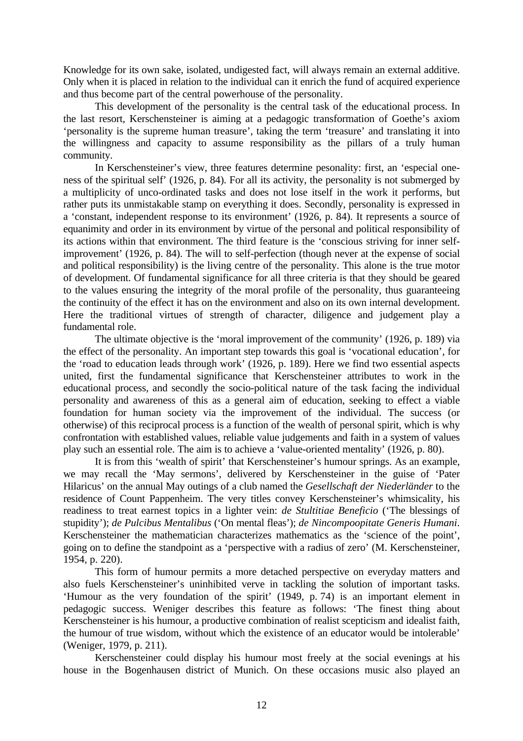Knowledge for its own sake, isolated, undigested fact, will always remain an external additive. Only when it is placed in relation to the individual can it enrich the fund of acquired experience and thus become part of the central powerhouse of the personality.

This development of the personality is the central task of the educational process. In the last resort, Kerschensteiner is aiming at a pedagogic transformation of Goethe's axiom 'personality is the supreme human treasure', taking the term 'treasure' and translating it into the willingness and capacity to assume responsibility as the pillars of a truly human community.

In Kerschensteiner's view, three features determine pesonality: first, an 'especial oneness of the spiritual self' (1926, p. 84). For all its activity, the personality is not submerged by a multiplicity of unco-ordinated tasks and does not lose itself in the work it performs, but rather puts its unmistakable stamp on everything it does. Secondly, personality is expressed in a 'constant, independent response to its environment' (1926, p. 84). It represents a source of equanimity and order in its environment by virtue of the personal and political responsibility of its actions within that environment. The third feature is the 'conscious striving for inner selfimprovement' (1926, p. 84). The will to self-perfection (though never at the expense of social and political responsibility) is the living centre of the personality. This alone is the true motor of development. Of fundamental significance for all three criteria is that they should be geared to the values ensuring the integrity of the moral profile of the personality, thus guaranteeing the continuity of the effect it has on the environment and also on its own internal development. Here the traditional virtues of strength of character, diligence and judgement play a fundamental role.

The ultimate objective is the 'moral improvement of the community' (1926, p. 189) via the effect of the personality. An important step towards this goal is 'vocational education', for the 'road to education leads through work' (1926, p. 189). Here we find two essential aspects united, first the fundamental significance that Kerschensteiner attributes to work in the educational process, and secondly the socio-political nature of the task facing the individual personality and awareness of this as a general aim of education, seeking to effect a viable foundation for human society via the improvement of the individual. The success (or otherwise) of this reciprocal process is a function of the wealth of personal spirit, which is why confrontation with established values, reliable value judgements and faith in a system of values play such an essential role. The aim is to achieve a 'value-oriented mentality' (1926, p. 80).

It is from this 'wealth of spirit' that Kerschensteiner's humour springs. As an example, we may recall the 'May sermons', delivered by Kerschensteiner in the guise of 'Pater Hilaricus' on the annual May outings of a club named the *Gesellschaft der Niederländer* to the residence of Count Pappenheim. The very titles convey Kerschensteiner's whimsicality, his readiness to treat earnest topics in a lighter vein: *de Stultitiae Beneficio* ('The blessings of stupidity'); *de Pulcibus Mentalibus* ('On mental fleas'); *de Nincompoopitate Generis Humani*. Kerschensteiner the mathematician characterizes mathematics as the 'science of the point', going on to define the standpoint as a 'perspective with a radius of zero' (M. Kerschensteiner, 1954, p. 220).

This form of humour permits a more detached perspective on everyday matters and also fuels Kerschensteiner's uninhibited verve in tackling the solution of important tasks. 'Humour as the very foundation of the spirit' (1949, p. 74) is an important element in pedagogic success. Weniger describes this feature as follows: 'The finest thing about Kerschensteiner is his humour, a productive combination of realist scepticism and idealist faith, the humour of true wisdom, without which the existence of an educator would be intolerable' (Weniger, 1979, p. 211).

Kerschensteiner could display his humour most freely at the social evenings at his house in the Bogenhausen district of Munich. On these occasions music also played an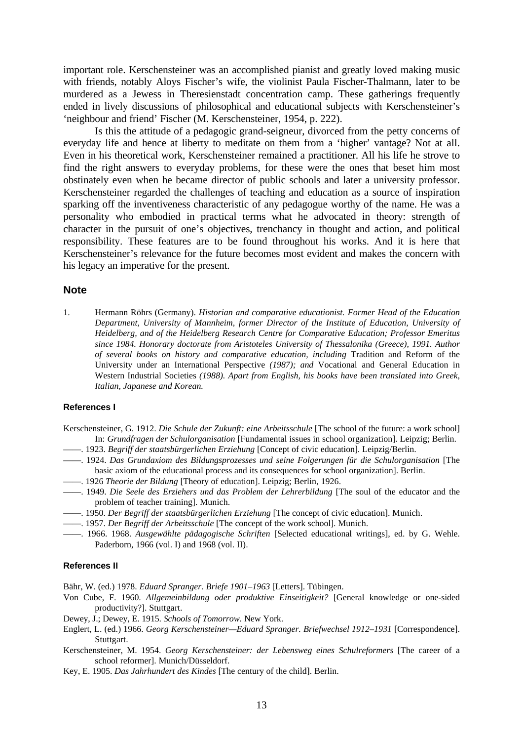important role. Kerschensteiner was an accomplished pianist and greatly loved making music with friends, notably Aloys Fischer's wife, the violinist Paula Fischer-Thalmann, later to be murdered as a Jewess in Theresienstadt concentration camp. These gatherings frequently ended in lively discussions of philosophical and educational subjects with Kerschensteiner's 'neighbour and friend' Fischer (M. Kerschensteiner, 1954, p. 222).

Is this the attitude of a pedagogic grand-seigneur, divorced from the petty concerns of everyday life and hence at liberty to meditate on them from a 'higher' vantage? Not at all. Even in his theoretical work, Kerschensteiner remained a practitioner. All his life he strove to find the right answers to everyday problems, for these were the ones that beset him most obstinately even when he became director of public schools and later a university professor. Kerschensteiner regarded the challenges of teaching and education as a source of inspiration sparking off the inventiveness characteristic of any pedagogue worthy of the name. He was a personality who embodied in practical terms what he advocated in theory: strength of character in the pursuit of one's objectives, trenchancy in thought and action, and political responsibility. These features are to be found throughout his works. And it is here that Kerschensteiner's relevance for the future becomes most evident and makes the concern with his legacy an imperative for the present.

#### **Note**

1. Hermann Röhrs (Germany). *Historian and comparative educationist. Former Head of the Education Department, University of Mannheim, former Director of the Institute of Education, University of Heidelberg, and of the Heidelberg Research Centre for Comparative Education; Professor Emeritus since 1984. Honorary doctorate from Aristoteles University of Thessalonika (Greece), 1991. Author of several books on history and comparative education, including* Tradition and Reform of the University under an International Perspective *(1987); and* Vocational and General Education in Western Industrial Societies *(1988). Apart from English, his books have been translated into Greek, Italian, Japanese and Korean.*

#### **References I**

- Kerschensteiner, G. 1912. *Die Schule der Zukunft: eine Arbeitsschule* [The school of the future: a work school] In: *Grundfragen der Schulorganisation* [Fundamental issues in school organization]. Leipzig; Berlin.
- ——. 1923. *Begriff der staatsbürgerlichen Erziehung* [Concept of civic education]. Leipzig/Berlin.
- ——. 1924. *Das Grundaxiom des Bildungsprozesses und seine Folgerungen für die Schulorganisation* [The basic axiom of the educational process and its consequences for school organization]. Berlin.
- ——. 1926 *Theorie der Bildung* [Theory of education]. Leipzig; Berlin, 1926.
- ——. 1949. *Die Seele des Erziehers und das Problem der Lehrerbildung* [The soul of the educator and the problem of teacher training]. Munich.
- ——. 1950. *Der Begriff der staatsbürgerlichen Erziehung* [The concept of civic education]. Munich.
- ——. 1957. *Der Begriff der Arbeitsschule* [The concept of the work school]. Munich.
- ——. 1966. 1968. *Ausgewählte pädagogische Schriften* [Selected educational writings], ed. by G. Wehle. Paderborn, 1966 (vol. I) and 1968 (vol. II).

#### **References II**

Bähr, W. (ed.) 1978. *Eduard Spranger. Briefe 1901–1963* [Letters]. Tübingen.

- Von Cube, F. 1960. *Allgemeinbildung oder produktive Einseitigkeit?* [General knowledge or one-sided productivity?]. Stuttgart.
- Dewey, J.; Dewey, E. 1915. *Schools of Tomorrow*. New York.
- Englert, L. (ed.) 1966. *Georg Kerschensteiner—Eduard Spranger. Briefwechsel 1912–1931* [Correspondence]. Stuttgart.
- Kerschensteiner, M. 1954. *Georg Kerschensteiner: der Lebensweg eines Schulreformers* [The career of a school reformer]. Munich/Düsseldorf.
- Key, E. 1905. *Das Jahrhundert des Kindes* [The century of the child]. Berlin.